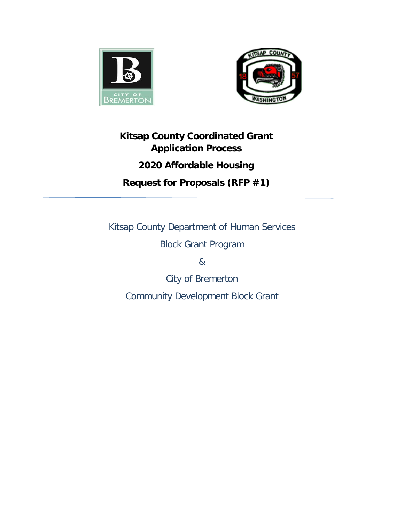



# **Kitsap County Coordinated Grant Application Process 2020 Affordable Housing Request for Proposals (RFP #1)**

Kitsap County Department of Human Services

Block Grant Program

&

City of Bremerton

Community Development Block Grant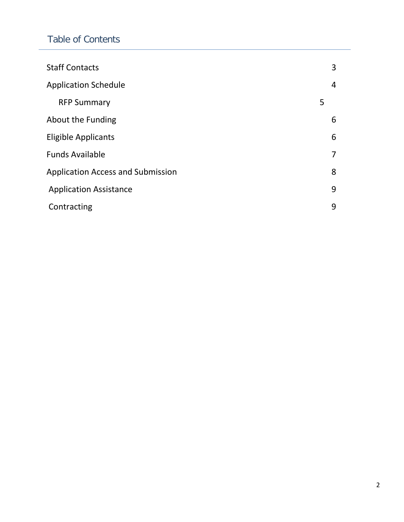# Table of Contents

| <b>Staff Contacts</b>                    | 3 |
|------------------------------------------|---|
| <b>Application Schedule</b>              | 4 |
| <b>RFP Summary</b>                       | 5 |
| About the Funding                        | 6 |
| <b>Eligible Applicants</b>               | 6 |
| <b>Funds Available</b>                   | 7 |
| <b>Application Access and Submission</b> | 8 |
| <b>Application Assistance</b>            | 9 |
| Contracting                              | 9 |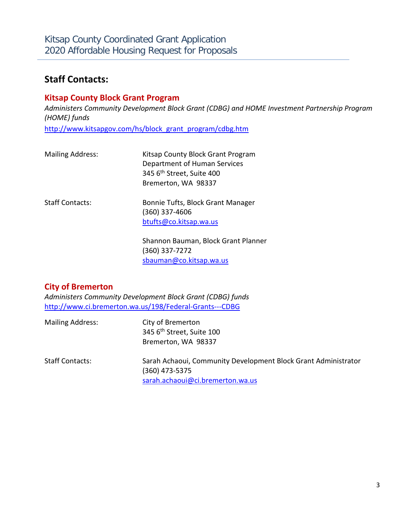### **Staff Contacts:**

### **Kitsap County Block Grant Program**

*Administers Community Development Block Grant (CDBG) and HOME Investment Partnership Program (HOME) funds*

[http://www.kitsapgov.com/hs/block\\_grant\\_program/cdbg.htm](http://www.kitsapgov.com/hs/block_grant_program/cdbg.htm)

| <b>Mailing Address:</b> | Kitsap County Block Grant Program<br>Department of Human Services<br>345 6 <sup>th</sup> Street, Suite 400<br>Bremerton, WA 98337 |
|-------------------------|-----------------------------------------------------------------------------------------------------------------------------------|
| <b>Staff Contacts:</b>  | Bonnie Tufts, Block Grant Manager<br>$(360)$ 337-4606<br>btufts@co.kitsap.wa.us                                                   |
|                         | Shannon Bauman, Block Grant Planner                                                                                               |

(360) 337-7272 [sbauman@co.kitsap.wa.us](mailto:sbauman@co.kitsap.wa.us)

### **City of Bremerton**

*Administers Community Development Block Grant (CDBG) funds* http://www.ci.bremerton.wa.us/198/Federal-Grants---CDBG

| <b>Mailing Address:</b> | City of Bremerton<br>345 6 <sup>th</sup> Street, Suite 100<br>Bremerton, WA 98337                                    |
|-------------------------|----------------------------------------------------------------------------------------------------------------------|
| <b>Staff Contacts:</b>  | Sarah Achaoui, Community Development Block Grant Administrator<br>(360) 473-5375<br>sarah.achaoui@ci.bremerton.wa.us |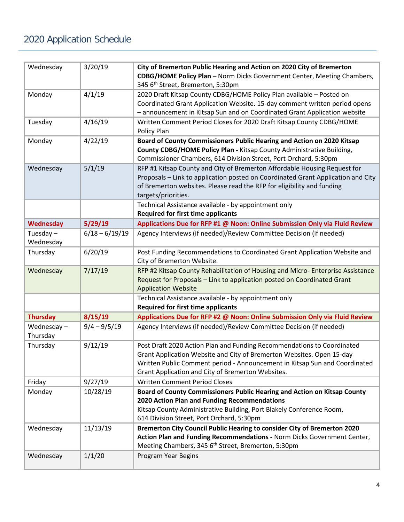# 2020 Application Schedule

| Wednesday                | 3/20/19          | City of Bremerton Public Hearing and Action on 2020 City of Bremerton<br>CDBG/HOME Policy Plan - Norm Dicks Government Center, Meeting Chambers,<br>345 6 <sup>th</sup> Street, Bremerton, 5:30pm                                                                                  |  |
|--------------------------|------------------|------------------------------------------------------------------------------------------------------------------------------------------------------------------------------------------------------------------------------------------------------------------------------------|--|
| Monday                   | 4/1/19           | 2020 Draft Kitsap County CDBG/HOME Policy Plan available - Posted on<br>Coordinated Grant Application Website. 15-day comment written period opens<br>- announcement in Kitsap Sun and on Coordinated Grant Application website                                                    |  |
| Tuesday                  | 4/16/19          | Written Comment Period Closes for 2020 Draft Kitsap County CDBG/HOME<br>Policy Plan                                                                                                                                                                                                |  |
| Monday                   | 4/22/19          | Board of County Commissioners Public Hearing and Action on 2020 Kitsap<br>County CDBG/HOME Policy Plan - Kitsap County Administrative Building,<br>Commissioner Chambers, 614 Division Street, Port Orchard, 5:30pm                                                                |  |
| Wednesday                | 5/1/19           | RFP #1 Kitsap County and City of Bremerton Affordable Housing Request for<br>Proposals - Link to application posted on Coordinated Grant Application and City<br>of Bremerton websites. Please read the RFP for eligibility and funding<br>targets/priorities.                     |  |
|                          |                  | Technical Assistance available - by appointment only<br><b>Required for first time applicants</b>                                                                                                                                                                                  |  |
| <b>Wednesday</b>         | 5/29/19          | Applications Due for RFP #1 @ Noon: Online Submission Only via Fluid Review                                                                                                                                                                                                        |  |
| Tuesday $-$<br>Wednesday | $6/18 - 6/19/19$ | Agency Interviews (if needed)/Review Committee Decision (if needed)                                                                                                                                                                                                                |  |
| Thursday                 | 6/20/19          | Post Funding Recommendations to Coordinated Grant Application Website and<br>City of Bremerton Website.                                                                                                                                                                            |  |
| Wednesday                | 7/17/19          | RFP #2 Kitsap County Rehabilitation of Housing and Micro-Enterprise Assistance<br>Request for Proposals - Link to application posted on Coordinated Grant<br><b>Application Website</b>                                                                                            |  |
|                          |                  | Technical Assistance available - by appointment only<br><b>Required for first time applicants</b>                                                                                                                                                                                  |  |
| <b>Thursday</b>          | 8/15/19          | Applications Due for RFP #2 @ Noon: Online Submission Only via Fluid Review                                                                                                                                                                                                        |  |
| Wednesday-<br>Thursday   | $9/4 - 9/5/19$   | Agency Interviews (if needed)/Review Committee Decision (if needed)                                                                                                                                                                                                                |  |
| Thursday                 | 9/12/19          | Post Draft 2020 Action Plan and Funding Recommendations to Coordinated<br>Grant Application Website and City of Bremerton Websites. Open 15-day<br>Written Public Comment period - Announcement in Kitsap Sun and Coordinated<br>Grant Application and City of Bremerton Websites. |  |
| Friday                   | 9/27/19          | <b>Written Comment Period Closes</b>                                                                                                                                                                                                                                               |  |
| Monday                   | 10/28/19         | Board of County Commissioners Public Hearing and Action on Kitsap County<br>2020 Action Plan and Funding Recommendations<br>Kitsap County Administrative Building, Port Blakely Conference Room,<br>614 Division Street, Port Orchard, 5:30pm                                      |  |
| Wednesday                | 11/13/19         | Bremerton City Council Public Hearing to consider City of Bremerton 2020<br>Action Plan and Funding Recommendations - Norm Dicks Government Center,<br>Meeting Chambers, 345 6 <sup>th</sup> Street, Bremerton, 5:30pm                                                             |  |
| Wednesday                | 1/1/20           | Program Year Begins                                                                                                                                                                                                                                                                |  |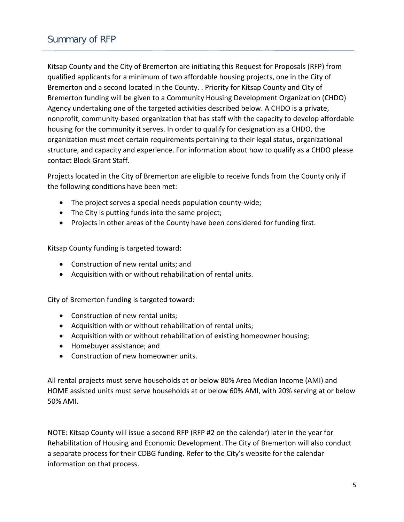Kitsap County and the City of Bremerton are initiating this Request for Proposals (RFP) from qualified applicants for a minimum of two affordable housing projects, one in the City of Bremerton and a second located in the County. . Priority for Kitsap County and City of Bremerton funding will be given to a Community Housing Development Organization (CHDO) Agency undertaking one of the targeted activities described below. A CHDO is a private, nonprofit, community-based organization that has staff with the capacity to develop affordable housing for the community it serves. In order to qualify for designation as a CHDO, the organization must meet certain requirements pertaining to their legal status, organizational structure, and capacity and experience. For information about how to qualify as a CHDO please contact Block Grant Staff.

Projects located in the City of Bremerton are eligible to receive funds from the County only if the following conditions have been met:

- The project serves a special needs population county-wide;
- The City is putting funds into the same project;
- Projects in other areas of the County have been considered for funding first.

Kitsap County funding is targeted toward:

- Construction of new rental units; and
- Acquisition with or without rehabilitation of rental units.

City of Bremerton funding is targeted toward:

- Construction of new rental units;
- Acquisition with or without rehabilitation of rental units;
- Acquisition with or without rehabilitation of existing homeowner housing;
- Homebuyer assistance; and
- Construction of new homeowner units.

All rental projects must serve households at or below 80% Area Median Income (AMI) and HOME assisted units must serve households at or below 60% AMI, with 20% serving at or below 50% AMI.

NOTE: Kitsap County will issue a second RFP (RFP #2 on the calendar) later in the year for Rehabilitation of Housing and Economic Development. The City of Bremerton will also conduct a separate process for their CDBG funding. Refer to the City's website for the calendar information on that process.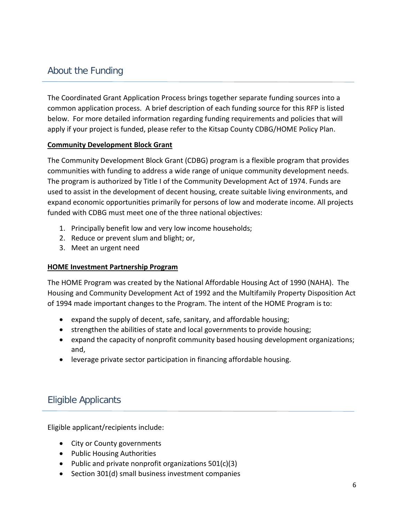### About the Funding

The Coordinated Grant Application Process brings together separate funding sources into a common application process. A brief description of each funding source for this RFP is listed below. For more detailed information regarding funding requirements and policies that will apply if your project is funded, please refer to the Kitsap County CDBG/HOME Policy Plan.

#### **Community Development Block Grant**

The Community Development Block Grant (CDBG) program is a flexible program that provides communities with funding to address a wide range of unique community development needs. The program is authorized by Title I of the Community Development Act of 1974. Funds are used to assist in the development of decent housing, create suitable living environments, and expand economic opportunities primarily for persons of low and moderate income. All projects funded with CDBG must meet one of the three national objectives:

- 1. Principally benefit low and very low income households;
- 2. Reduce or prevent slum and blight; or,
- 3. Meet an urgent need

#### **HOME Investment Partnership Program**

The HOME Program was created by the National Affordable Housing Act of 1990 (NAHA). The Housing and Community Development Act of 1992 and the Multifamily Property Disposition Act of 1994 made important changes to the Program. The intent of the HOME Program is to:

- expand the supply of decent, safe, sanitary, and affordable housing;
- strengthen the abilities of state and local governments to provide housing;
- expand the capacity of nonprofit community based housing development organizations; and,
- leverage private sector participation in financing affordable housing.

# Eligible Applicants

Eligible applicant/recipients include:

- City or County governments
- Public Housing Authorities
- Public and private nonprofit organizations 501(c)(3)
- Section 301(d) small business investment companies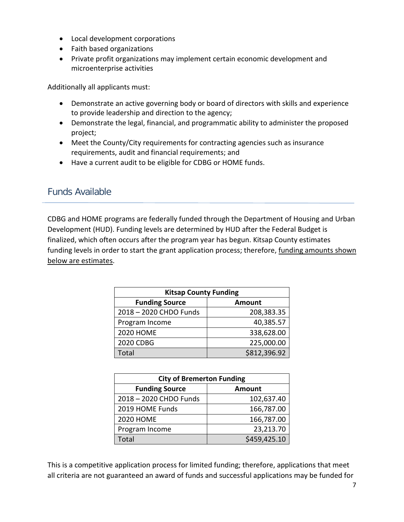- Local development corporations
- Faith based organizations
- Private profit organizations may implement certain economic development and microenterprise activities

Additionally all applicants must:

- Demonstrate an active governing body or board of directors with skills and experience to provide leadership and direction to the agency;
- Demonstrate the legal, financial, and programmatic ability to administer the proposed project;
- Meet the County/City requirements for contracting agencies such as insurance requirements, audit and financial requirements; and
- Have a current audit to be eligible for CDBG or HOME funds.

### Funds Available

CDBG and HOME programs are federally funded through the Department of Housing and Urban Development (HUD). Funding levels are determined by HUD after the Federal Budget is finalized, which often occurs after the program year has begun. Kitsap County estimates funding levels in order to start the grant application process; therefore, funding amounts shown below are estimates.

| <b>Kitsap County Funding</b> |               |  |
|------------------------------|---------------|--|
| <b>Funding Source</b>        | <b>Amount</b> |  |
| 2018-2020 CHDO Funds         | 208,383.35    |  |
| Program Income               | 40,385.57     |  |
| <b>2020 HOME</b>             | 338,628.00    |  |
| 2020 CDBG                    | 225,000.00    |  |
| Total                        | \$812,396.92  |  |

| <b>City of Bremerton Funding</b> |               |  |  |
|----------------------------------|---------------|--|--|
| <b>Funding Source</b>            | <b>Amount</b> |  |  |
| 2018-2020 CHDO Funds             | 102,637.40    |  |  |
| 2019 HOME Funds                  | 166,787.00    |  |  |
| <b>2020 HOME</b>                 | 166,787.00    |  |  |
| Program Income                   | 23,213.70     |  |  |
| Total                            | \$459,425.10  |  |  |

This is a competitive application process for limited funding; therefore, applications that meet all criteria are not guaranteed an award of funds and successful applications may be funded for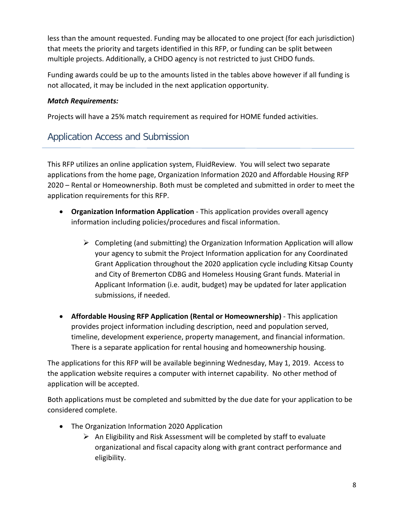less than the amount requested. Funding may be allocated to one project (for each jurisdiction) that meets the priority and targets identified in this RFP, or funding can be split between multiple projects. Additionally, a CHDO agency is not restricted to just CHDO funds.

Funding awards could be up to the amounts listed in the tables above however if all funding is not allocated, it may be included in the next application opportunity.

### *Match Requirements:*

Projects will have a 25% match requirement as required for HOME funded activities.

# Application Access and Submission

This RFP utilizes an online application system, FluidReview. You will select two separate applications from the home page, Organization Information 2020 and Affordable Housing RFP 2020 – Rental or Homeownership. Both must be completed and submitted in order to meet the application requirements for this RFP.

- **Organization Information Application** This application provides overall agency information including policies/procedures and fiscal information.
	- $\triangleright$  Completing (and submitting) the Organization Information Application will allow your agency to submit the Project Information application for any Coordinated Grant Application throughout the 2020 application cycle including Kitsap County and City of Bremerton CDBG and Homeless Housing Grant funds. Material in Applicant Information (i.e. audit, budget) may be updated for later application submissions, if needed.
- **Affordable Housing RFP Application (Rental or Homeownership)** This application provides project information including description, need and population served, timeline, development experience, property management, and financial information. There is a separate application for rental housing and homeownership housing.

The applications for this RFP will be available beginning Wednesday, May 1, 2019. Access to the application website requires a computer with internet capability. No other method of application will be accepted.

Both applications must be completed and submitted by the due date for your application to be considered complete.

- The Organization Information 2020 Application
	- $\triangleright$  An Eligibility and Risk Assessment will be completed by staff to evaluate organizational and fiscal capacity along with grant contract performance and eligibility.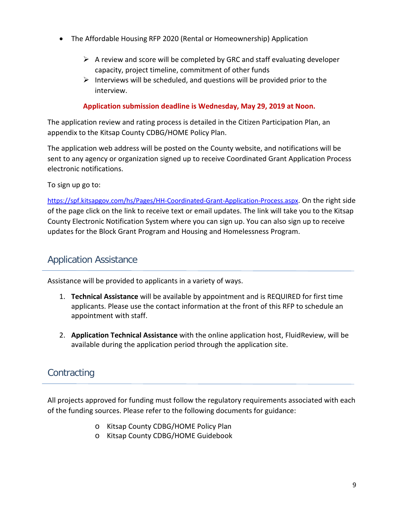- The Affordable Housing RFP 2020 (Rental or Homeownership) Application
	- $\triangleright$  A review and score will be completed by GRC and staff evaluating developer capacity, project timeline, commitment of other funds
	- $\triangleright$  Interviews will be scheduled, and questions will be provided prior to the interview.

#### **Application submission deadline is Wednesday, May 29, 2019 at Noon.**

The application review and rating process is detailed in the Citizen Participation Plan, an appendix to the Kitsap County CDBG/HOME Policy Plan.

The application web address will be posted on the County website, and notifications will be sent to any agency or organization signed up to receive Coordinated Grant Application Process electronic notifications.

To sign up go to:

[https://spf.kitsapgov.com/hs/Pages/HH-Coordinated-Grant-Application-Process.aspx.](https://spf.kitsapgov.com/hs/Pages/HH-Coordinated-Grant-Application-Process.aspx) On the right side of the page click on the link to receive text or email updates. The link will take you to the Kitsap County Electronic Notification System where you can sign up. You can also sign up to receive updates for the Block Grant Program and Housing and Homelessness Program.

### Application Assistance

Assistance will be provided to applicants in a variety of ways.

- 1. **Technical Assistance** will be available by appointment and is REQUIRED for first time applicants. Please use the contact information at the front of this RFP to schedule an appointment with staff.
- 2. **Application Technical Assistance** with the online application host, FluidReview, will be available during the application period through the application site.

# **Contracting**

All projects approved for funding must follow the regulatory requirements associated with each of the funding sources. Please refer to the following documents for guidance:

- o Kitsap County CDBG/HOME Policy Plan
- o Kitsap County CDBG/HOME Guidebook